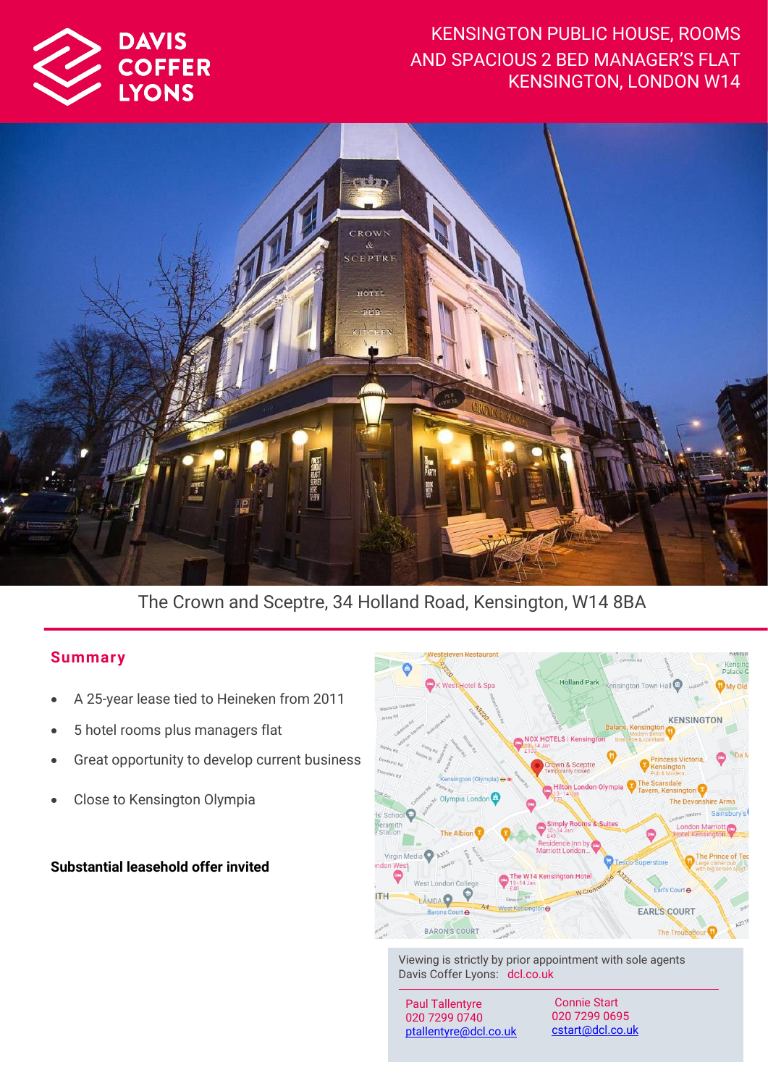

# KENSINGTON PUBLIC HOUSE, ROOMS AND SPACIOUS 2 BED MANAGER'S FLAT KENSINGTON, LONDON W14



The Crown and Sceptre, 34 Holland Road, Kensington, W14 8BA

### **Summar y**

- A 25-year lease tied to Heineken from 2011
- 5 hotel rooms plus managers flat
- Great opportunity to develop current business
- Close to Kensington Olympia

### **Substantial leasehold offer invited**



Viewing is strictly by prior appointment with sole agents Davis Coffer Lyons: dcl.co.uk

Paul Tallentyre 020 7299 0740 [ptallentyre@dcl.co.uk](mailto:ptallentyre@dcl.co.uk)

Connie Start 020 7299 0695 [cstart@dcl.co.uk](mailto:cstart@dcl.co.uk)